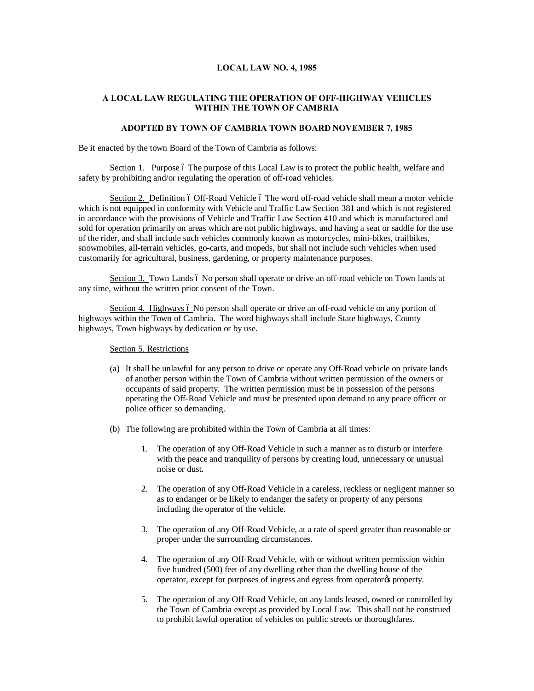## **LOCAL LAW NO. 4, 1985**

# **A LOCAL LAW REGULATING THE OPERATION OF OFF-HIGHWAY VEHICLES WITHIN THE TOWN OF CAMBRIA**

### **ADOPTED BY TOWN OF CAMBRIA TOWN BOARD NOVEMBER 7, 1985**

Be it enacted by the town Board of the Town of Cambria as follows:

Section 1. Purpose 6 The purpose of this Local Law is to protect the public health, welfare and safety by prohibiting and/or regulating the operation of off-road vehicles.

Section 2. Definition 6 Off-Road Vehicle 6 The word off-road vehicle shall mean a motor vehicle which is not equipped in conformity with Vehicle and Traffic Law Section 381 and which is not registered in accordance with the provisions of Vehicle and Traffic Law Section 410 and which is manufactured and sold for operation primarily on areas which are not public highways, and having a seat or saddle for the use of the rider, and shall include such vehicles commonly known as motorcycles, mini-bikes, trailbikes, snowmobiles, all-terrain vehicles, go-carts, and mopeds, but shall not include such vehicles when used customarily for agricultural, business, gardening, or property maintenance purposes.

Section 3. Town Lands 6 No person shall operate or drive an off-road vehicle on Town lands at any time, without the written prior consent of the Town.

Section 4. Highways 6 No person shall operate or drive an off-road vehicle on any portion of highways within the Town of Cambria. The word highways shall include State highways, County highways, Town highways by dedication or by use.

#### Section 5. Restrictions

- (a) It shall be unlawful for any person to drive or operate any Off-Road vehicle on private lands of another person within the Town of Cambria without written permission of the owners or occupants of said property. The written permission must be in possession of the persons operating the Off-Road Vehicle and must be presented upon demand to any peace officer or police officer so demanding.
- (b) The following are prohibited within the Town of Cambria at all times:
	- 1. The operation of any Off-Road Vehicle in such a manner as to disturb or interfere with the peace and tranquility of persons by creating loud, unnecessary or unusual noise or dust.
	- 2. The operation of any Off-Road Vehicle in a careless, reckless or negligent manner so as to endanger or be likely to endanger the safety or property of any persons including the operator of the vehicle.
	- 3. The operation of any Off-Road Vehicle, at a rate of speed greater than reasonable or proper under the surrounding circumstances.
	- 4. The operation of any Off-Road Vehicle, with or without written permission within five hundred (500) feet of any dwelling other than the dwelling house of the operator, except for purposes of ingress and egress from operator% property.
	- 5. The operation of any Off-Road Vehicle, on any lands leased, owned or controlled by the Town of Cambria except as provided by Local Law. This shall not be construed to prohibit lawful operation of vehicles on public streets or thoroughfares.